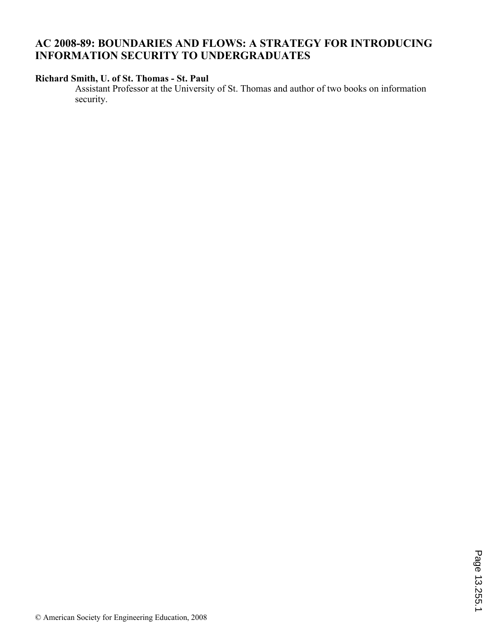## **AC 2008-89: BOUNDARIES AND FLOWS: A STRATEGY FOR INTRODUCING INFORMATION SECURITY TO UNDERGRADUATES**

### **Richard Smith, U. of St. Thomas - St. Paul**

Assistant Professor at the University of St. Thomas and author of two books on information security.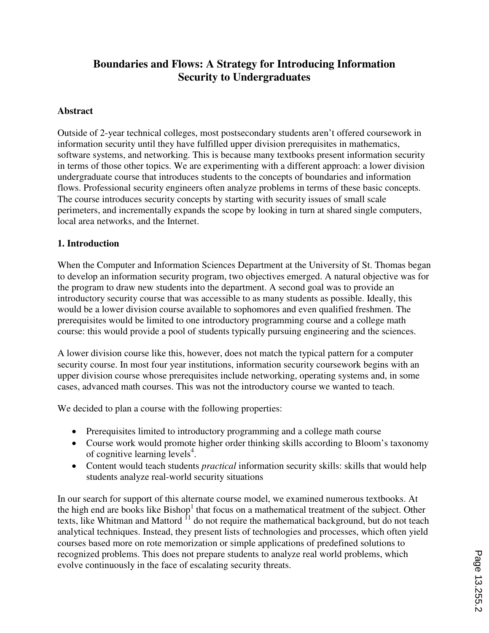# **Boundaries and Flows: A Strategy for Introducing Information Security to Undergraduates**

#### **Abstract**

Outside of 2-year technical colleges, most postsecondary students aren't offered coursework in information security until they have fulfilled upper division prerequisites in mathematics, software systems, and networking. This is because many textbooks present information security in terms of those other topics. We are experimenting with a different approach: a lower division undergraduate course that introduces students to the concepts of boundaries and information flows. Professional security engineers often analyze problems in terms of these basic concepts. The course introduces security concepts by starting with security issues of small scale perimeters, and incrementally expands the scope by looking in turn at shared single computers, local area networks, and the Internet.

#### **1. Introduction**

When the Computer and Information Sciences Department at the University of St. Thomas began to develop an information security program, two objectives emerged. A natural objective was for the program to draw new students into the department. A second goal was to provide an introductory security course that was accessible to as many students as possible. Ideally, this would be a lower division course available to sophomores and even qualified freshmen. The prerequisites would be limited to one introductory programming course and a college math course: this would provide a pool of students typically pursuing engineering and the sciences.

A lower division course like this, however, does not match the typical pattern for a computer security course. In most four year institutions, information security coursework begins with an upper division course whose prerequisites include networking, operating systems and, in some cases, advanced math courses. This was not the introductory course we wanted to teach.

We decided to plan a course with the following properties:

- Prerequisites limited to introductory programming and a college math course
- Course work would promote higher order thinking skills according to Bloom's taxonomy of cognitive learning levels<sup>4</sup>.
- Content would teach students *practical* information security skills: skills that would help students analyze real-world security situations

In our search for support of this alternate course model, we examined numerous textbooks. At the high end are books like  $Bishop<sup>1</sup>$  that focus on a mathematical treatment of the subject. Other texts, like Whitman and Mattord <sup>11</sup> do not require the mathematical background, but do not teach analytical techniques. Instead, they present lists of technologies and processes, which often yield courses based more on rote memorization or simple applications of predefined solutions to recognized problems. This does not prepare students to analyze real world problems, which evolve continuously in the face of escalating security threats.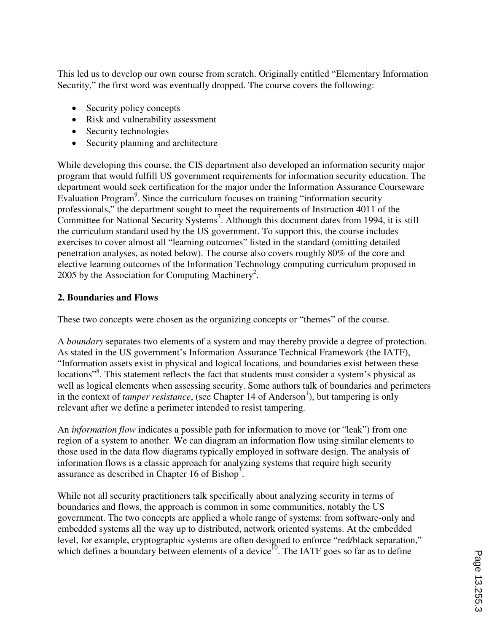This led us to develop our own course from scratch. Originally entitled "Elementary Information Security," the first word was eventually dropped. The course covers the following:

- Security policy concepts
- Risk and vulnerability assessment
- Security technologies
- Security planning and architecture

While developing this course, the CIS department also developed an information security major program that would fulfill US government requirements for information security education. The department would seek certification for the major under the Information Assurance Courseware Evaluation Program<sup>9</sup>. Since the curriculum focuses on training "information security professionals," the department sought to meet the requirements of Instruction 4011 of the Committee for National Security Systems<sup>7</sup>. Although this document dates from 1994, it is still the curriculum standard used by the US government. To support this, the course includes exercises to cover almost all "learning outcomes" listed in the standard (omitting detailed penetration analyses, as noted below). The course also covers roughly 80% of the core and elective learning outcomes of the Information Technology computing curriculum proposed in 2005 by the Association for Computing Machinery<sup>2</sup>.

#### **2. Boundaries and Flows**

These two concepts were chosen as the organizing concepts or "themes" of the course.

A *boundary* separates two elements of a system and may thereby provide a degree of protection. As stated in the US government's Information Assurance Technical Framework (the IATF), "Information assets exist in physical and logical locations, and boundaries exist between these locations"<sup>8</sup>. This statement reflects the fact that students must consider a system's physical as well as logical elements when assessing security. Some authors talk of boundaries and perimeters in the context of *tamper resistance*, (see Chapter 14 of Anderson<sup>1</sup>), but tampering is only relevant after we define a perimeter intended to resist tampering.

An *information flow* indicates a possible path for information to move (or "leak") from one region of a system to another. We can diagram an information flow using similar elements to those used in the data flow diagrams typically employed in software design. The analysis of information flows is a classic approach for analyzing systems that require high security assurance as described in Chapter 16 of Bishop<sup>3</sup>.

While not all security practitioners talk specifically about analyzing security in terms of boundaries and flows, the approach is common in some communities, notably the US government. The two concepts are applied a whole range of systems: from software-only and embedded systems all the way up to distributed, network oriented systems. At the embedded level, for example, cryptographic systems are often designed to enforce "red/black separation," which defines a boundary between elements of a device<sup>10</sup>. The IATF goes so far as to define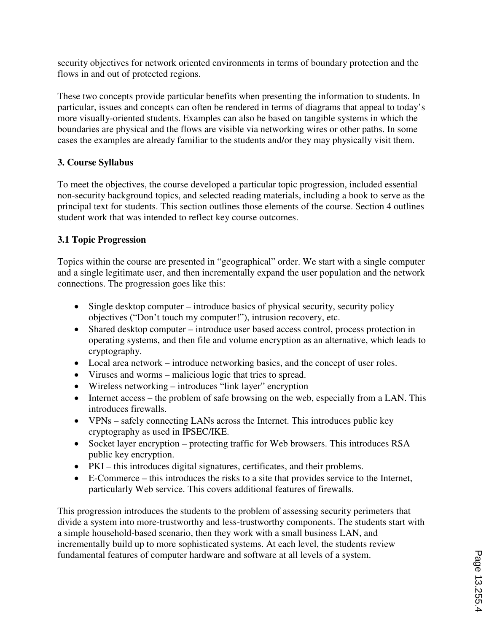security objectives for network oriented environments in terms of boundary protection and the flows in and out of protected regions.

These two concepts provide particular benefits when presenting the information to students. In particular, issues and concepts can often be rendered in terms of diagrams that appeal to today's more visually-oriented students. Examples can also be based on tangible systems in which the boundaries are physical and the flows are visible via networking wires or other paths. In some cases the examples are already familiar to the students and/or they may physically visit them.

### **3. Course Syllabus**

To meet the objectives, the course developed a particular topic progression, included essential non-security background topics, and selected reading materials, including a book to serve as the principal text for students. This section outlines those elements of the course. Section 4 outlines student work that was intended to reflect key course outcomes.

### **3.1 Topic Progression**

Topics within the course are presented in "geographical" order. We start with a single computer and a single legitimate user, and then incrementally expand the user population and the network connections. The progression goes like this:

- Single desktop computer introduce basics of physical security, security policy objectives ("Don't touch my computer!"), intrusion recovery, etc.
- Shared desktop computer introduce user based access control, process protection in operating systems, and then file and volume encryption as an alternative, which leads to cryptography.
- Local area network introduce networking basics, and the concept of user roles.
- Viruses and worms malicious logic that tries to spread.
- Wireless networking introduces "link layer" encryption
- Internet access the problem of safe browsing on the web, especially from a LAN. This introduces firewalls.
- VPNs safely connecting LANs across the Internet. This introduces public key cryptography as used in IPSEC/IKE.
- Socket layer encryption protecting traffic for Web browsers. This introduces RSA public key encryption.
- PKI this introduces digital signatures, certificates, and their problems.
- E-Commerce this introduces the risks to a site that provides service to the Internet, particularly Web service. This covers additional features of firewalls.

This progression introduces the students to the problem of assessing security perimeters that divide a system into more-trustworthy and less-trustworthy components. The students start with a simple household-based scenario, then they work with a small business LAN, and incrementally build up to more sophisticated systems. At each level, the students review fundamental features of computer hardware and software at all levels of a system.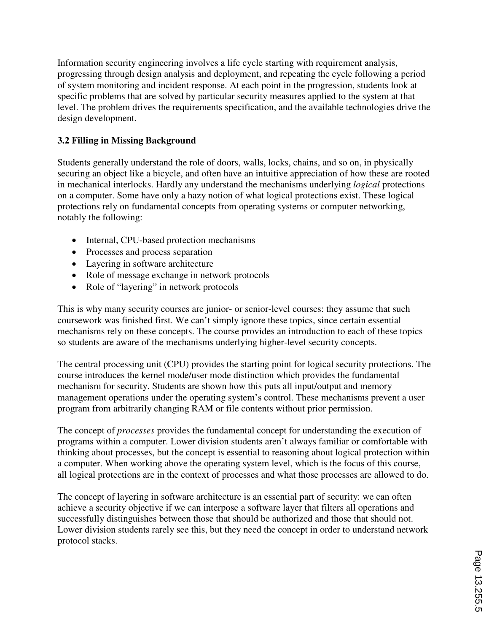Information security engineering involves a life cycle starting with requirement analysis, progressing through design analysis and deployment, and repeating the cycle following a period of system monitoring and incident response. At each point in the progression, students look at specific problems that are solved by particular security measures applied to the system at that level. The problem drives the requirements specification, and the available technologies drive the design development.

### **3.2 Filling in Missing Background**

Students generally understand the role of doors, walls, locks, chains, and so on, in physically securing an object like a bicycle, and often have an intuitive appreciation of how these are rooted in mechanical interlocks. Hardly any understand the mechanisms underlying *logical* protections on a computer. Some have only a hazy notion of what logical protections exist. These logical protections rely on fundamental concepts from operating systems or computer networking, notably the following:

- Internal, CPU-based protection mechanisms
- Processes and process separation
- Layering in software architecture
- Role of message exchange in network protocols
- Role of "layering" in network protocols

This is why many security courses are junior- or senior-level courses: they assume that such coursework was finished first. We can't simply ignore these topics, since certain essential mechanisms rely on these concepts. The course provides an introduction to each of these topics so students are aware of the mechanisms underlying higher-level security concepts.

The central processing unit (CPU) provides the starting point for logical security protections. The course introduces the kernel mode/user mode distinction which provides the fundamental mechanism for security. Students are shown how this puts all input/output and memory management operations under the operating system's control. These mechanisms prevent a user program from arbitrarily changing RAM or file contents without prior permission.

The concept of *processes* provides the fundamental concept for understanding the execution of programs within a computer. Lower division students aren't always familiar or comfortable with thinking about processes, but the concept is essential to reasoning about logical protection within a computer. When working above the operating system level, which is the focus of this course, all logical protections are in the context of processes and what those processes are allowed to do.

The concept of layering in software architecture is an essential part of security: we can often achieve a security objective if we can interpose a software layer that filters all operations and successfully distinguishes between those that should be authorized and those that should not. Lower division students rarely see this, but they need the concept in order to understand network protocol stacks.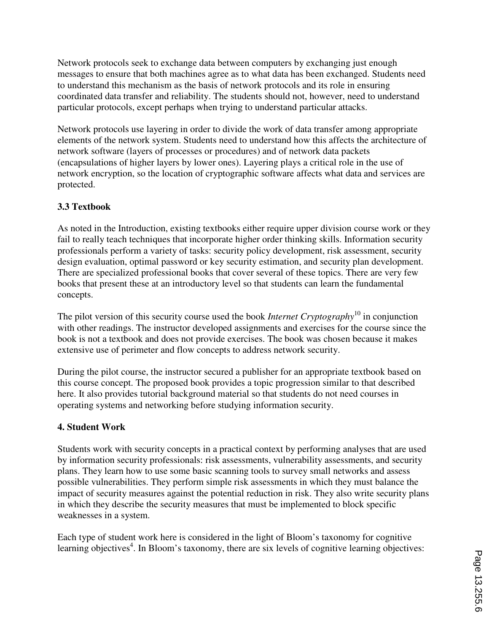Network protocols seek to exchange data between computers by exchanging just enough messages to ensure that both machines agree as to what data has been exchanged. Students need to understand this mechanism as the basis of network protocols and its role in ensuring coordinated data transfer and reliability. The students should not, however, need to understand particular protocols, except perhaps when trying to understand particular attacks.

Network protocols use layering in order to divide the work of data transfer among appropriate elements of the network system. Students need to understand how this affects the architecture of network software (layers of processes or procedures) and of network data packets (encapsulations of higher layers by lower ones). Layering plays a critical role in the use of network encryption, so the location of cryptographic software affects what data and services are protected.

### **3.3 Textbook**

As noted in the Introduction, existing textbooks either require upper division course work or they fail to really teach techniques that incorporate higher order thinking skills. Information security professionals perform a variety of tasks: security policy development, risk assessment, security design evaluation, optimal password or key security estimation, and security plan development. There are specialized professional books that cover several of these topics. There are very few books that present these at an introductory level so that students can learn the fundamental concepts.

The pilot version of this security course used the book *Internet Cryptography*<sup>10</sup> in conjunction with other readings. The instructor developed assignments and exercises for the course since the book is not a textbook and does not provide exercises. The book was chosen because it makes extensive use of perimeter and flow concepts to address network security.

During the pilot course, the instructor secured a publisher for an appropriate textbook based on this course concept. The proposed book provides a topic progression similar to that described here. It also provides tutorial background material so that students do not need courses in operating systems and networking before studying information security.

#### **4. Student Work**

Students work with security concepts in a practical context by performing analyses that are used by information security professionals: risk assessments, vulnerability assessments, and security plans. They learn how to use some basic scanning tools to survey small networks and assess possible vulnerabilities. They perform simple risk assessments in which they must balance the impact of security measures against the potential reduction in risk. They also write security plans in which they describe the security measures that must be implemented to block specific weaknesses in a system.

Each type of student work here is considered in the light of Bloom's taxonomy for cognitive learning objectives<sup>4</sup>. In Bloom's taxonomy, there are six levels of cognitive learning objectives: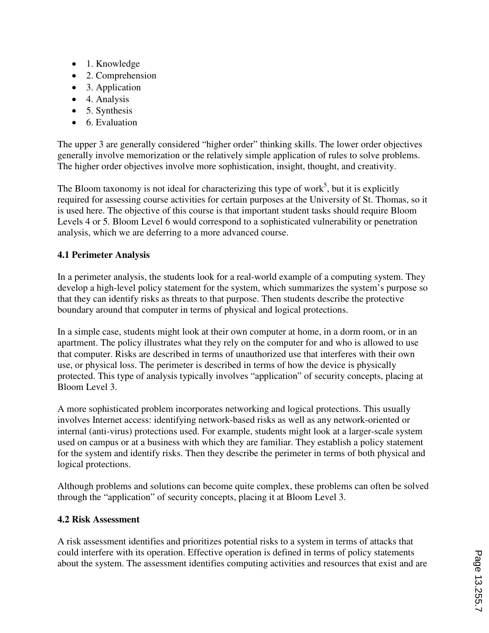- 1. Knowledge
- 2. Comprehension
- 3. Application
- 4. Analysis
- 5. Synthesis
- 6. Evaluation

The upper 3 are generally considered "higher order" thinking skills. The lower order objectives generally involve memorization or the relatively simple application of rules to solve problems. The higher order objectives involve more sophistication, insight, thought, and creativity.

The Bloom taxonomy is not ideal for characterizing this type of work<sup>5</sup>, but it is explicitly required for assessing course activities for certain purposes at the University of St. Thomas, so it is used here. The objective of this course is that important student tasks should require Bloom Levels 4 or 5. Bloom Level 6 would correspond to a sophisticated vulnerability or penetration analysis, which we are deferring to a more advanced course.

### **4.1 Perimeter Analysis**

In a perimeter analysis, the students look for a real-world example of a computing system. They develop a high-level policy statement for the system, which summarizes the system's purpose so that they can identify risks as threats to that purpose. Then students describe the protective boundary around that computer in terms of physical and logical protections.

In a simple case, students might look at their own computer at home, in a dorm room, or in an apartment. The policy illustrates what they rely on the computer for and who is allowed to use that computer. Risks are described in terms of unauthorized use that interferes with their own use, or physical loss. The perimeter is described in terms of how the device is physically protected. This type of analysis typically involves "application" of security concepts, placing at Bloom Level 3.

A more sophisticated problem incorporates networking and logical protections. This usually involves Internet access: identifying network-based risks as well as any network-oriented or internal (anti-virus) protections used. For example, students might look at a larger-scale system used on campus or at a business with which they are familiar. They establish a policy statement for the system and identify risks. Then they describe the perimeter in terms of both physical and logical protections.

Although problems and solutions can become quite complex, these problems can often be solved through the "application" of security concepts, placing it at Bloom Level 3.

#### **4.2 Risk Assessment**

A risk assessment identifies and prioritizes potential risks to a system in terms of attacks that could interfere with its operation. Effective operation is defined in terms of policy statements about the system. The assessment identifies computing activities and resources that exist and are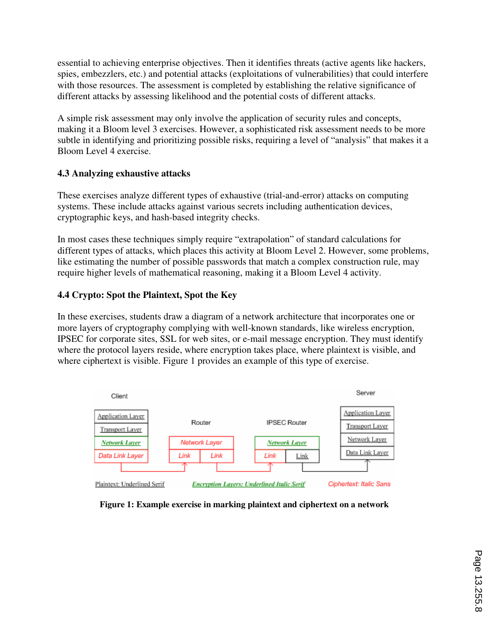essential to achieving enterprise objectives. Then it identifies threats (active agents like hackers, spies, embezzlers, etc.) and potential attacks (exploitations of vulnerabilities) that could interfere with those resources. The assessment is completed by establishing the relative significance of different attacks by assessing likelihood and the potential costs of different attacks.

A simple risk assessment may only involve the application of security rules and concepts, making it a Bloom level 3 exercises. However, a sophisticated risk assessment needs to be more subtle in identifying and prioritizing possible risks, requiring a level of "analysis" that makes it a Bloom Level 4 exercise.

### **4.3 Analyzing exhaustive attacks**

These exercises analyze different types of exhaustive (trial-and-error) attacks on computing systems. These include attacks against various secrets including authentication devices, cryptographic keys, and hash-based integrity checks.

In most cases these techniques simply require "extrapolation" of standard calculations for different types of attacks, which places this activity at Bloom Level 2. However, some problems, like estimating the number of possible passwords that match a complex construction rule, may require higher levels of mathematical reasoning, making it a Bloom Level 4 activity.

### **4.4 Crypto: Spot the Plaintext, Spot the Key**

In these exercises, students draw a diagram of a network architecture that incorporates one or more layers of cryptography complying with well-known standards, like wireless encryption, IPSEC for corporate sites, SSL for web sites, or e-mail message encryption. They must identify where the protocol layers reside, where encryption takes place, where plaintext is visible, and where ciphertext is visible. Figure 1 provides an example of this type of exercise.



**Figure 1: Example exercise in marking plaintext and ciphertext on a network**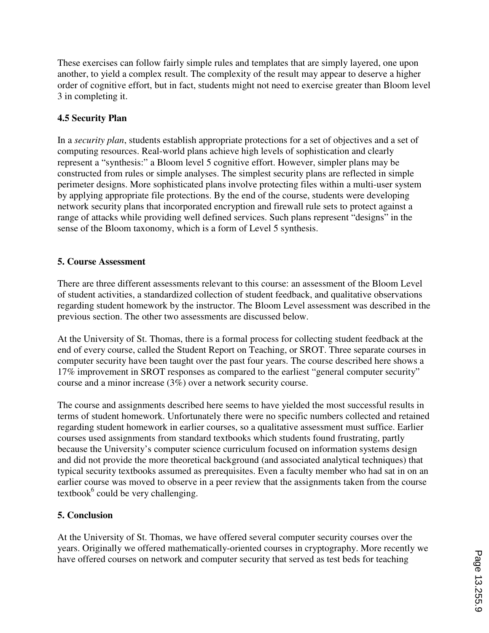These exercises can follow fairly simple rules and templates that are simply layered, one upon another, to yield a complex result. The complexity of the result may appear to deserve a higher order of cognitive effort, but in fact, students might not need to exercise greater than Bloom level 3 in completing it.

### **4.5 Security Plan**

In a *security plan*, students establish appropriate protections for a set of objectives and a set of computing resources. Real-world plans achieve high levels of sophistication and clearly represent a "synthesis:" a Bloom level 5 cognitive effort. However, simpler plans may be constructed from rules or simple analyses. The simplest security plans are reflected in simple perimeter designs. More sophisticated plans involve protecting files within a multi-user system by applying appropriate file protections. By the end of the course, students were developing network security plans that incorporated encryption and firewall rule sets to protect against a range of attacks while providing well defined services. Such plans represent "designs" in the sense of the Bloom taxonomy, which is a form of Level 5 synthesis.

### **5. Course Assessment**

There are three different assessments relevant to this course: an assessment of the Bloom Level of student activities, a standardized collection of student feedback, and qualitative observations regarding student homework by the instructor. The Bloom Level assessment was described in the previous section. The other two assessments are discussed below.

At the University of St. Thomas, there is a formal process for collecting student feedback at the end of every course, called the Student Report on Teaching, or SROT. Three separate courses in computer security have been taught over the past four years. The course described here shows a 17% improvement in SROT responses as compared to the earliest "general computer security" course and a minor increase (3%) over a network security course.

The course and assignments described here seems to have yielded the most successful results in terms of student homework. Unfortunately there were no specific numbers collected and retained regarding student homework in earlier courses, so a qualitative assessment must suffice. Earlier courses used assignments from standard textbooks which students found frustrating, partly because the University's computer science curriculum focused on information systems design and did not provide the more theoretical background (and associated analytical techniques) that typical security textbooks assumed as prerequisites. Even a faculty member who had sat in on an earlier course was moved to observe in a peer review that the assignments taken from the course textbook $<sup>6</sup>$  could be very challenging.</sup>

### **5. Conclusion**

At the University of St. Thomas, we have offered several computer security courses over the years. Originally we offered mathematically-oriented courses in cryptography. More recently we have offered courses on network and computer security that served as test beds for teaching